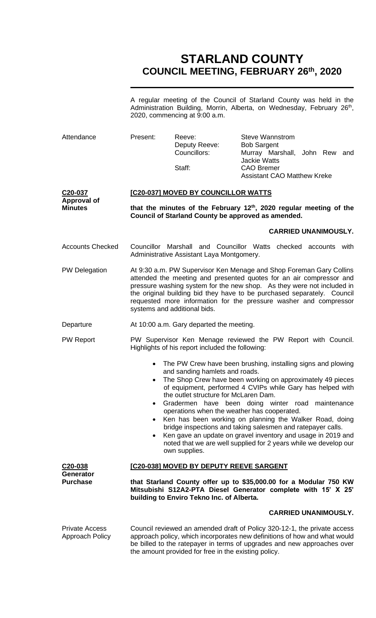# **STARLAND COUNTY COUNCIL MEETING, FEBRUARY 26th, 2020**

A regular meeting of the Council of Starland County was held in the Administration Building, Morrin, Alberta, on Wednesday, February 26<sup>th</sup>, 2020, commencing at 9:00 a.m.

| Attendance                                      | Present:                                                                                                                                                                                                                                                                                                                                                                                                                                                                                                                                                                                                                                                                         | Reeve:<br>Deputy Reeve:<br>Councillors:<br>Staff: | <b>Steve Wannstrom</b><br><b>Bob Sargent</b><br>Murray Marshall, John Rew and<br><b>Jackie Watts</b><br><b>CAO Bremer</b><br><b>Assistant CAO Matthew Kreke</b> |  |  |
|-------------------------------------------------|----------------------------------------------------------------------------------------------------------------------------------------------------------------------------------------------------------------------------------------------------------------------------------------------------------------------------------------------------------------------------------------------------------------------------------------------------------------------------------------------------------------------------------------------------------------------------------------------------------------------------------------------------------------------------------|---------------------------------------------------|-----------------------------------------------------------------------------------------------------------------------------------------------------------------|--|--|
| C20-037<br><b>Approval of</b><br><b>Minutes</b> | [C20-037] MOVED BY COUNCILLOR WATTS                                                                                                                                                                                                                                                                                                                                                                                                                                                                                                                                                                                                                                              |                                                   |                                                                                                                                                                 |  |  |
|                                                 | that the minutes of the February $12th$ , 2020 regular meeting of the<br>Council of Starland County be approved as amended.                                                                                                                                                                                                                                                                                                                                                                                                                                                                                                                                                      |                                                   |                                                                                                                                                                 |  |  |
|                                                 |                                                                                                                                                                                                                                                                                                                                                                                                                                                                                                                                                                                                                                                                                  |                                                   | <b>CARRIED UNANIMOUSLY.</b>                                                                                                                                     |  |  |
| <b>Accounts Checked</b>                         | Councillor Marshall and Councillor Watts checked accounts with<br>Administrative Assistant Laya Montgomery.                                                                                                                                                                                                                                                                                                                                                                                                                                                                                                                                                                      |                                                   |                                                                                                                                                                 |  |  |
| <b>PW Delegation</b>                            | At 9:30 a.m. PW Supervisor Ken Menage and Shop Foreman Gary Collins<br>attended the meeting and presented quotes for an air compressor and<br>pressure washing system for the new shop. As they were not included in<br>the original building bid they have to be purchased separately. Council<br>requested more information for the pressure washer and compressor<br>systems and additional bids.                                                                                                                                                                                                                                                                             |                                                   |                                                                                                                                                                 |  |  |
| Departure                                       | At 10:00 a.m. Gary departed the meeting.                                                                                                                                                                                                                                                                                                                                                                                                                                                                                                                                                                                                                                         |                                                   |                                                                                                                                                                 |  |  |
| <b>PW Report</b>                                | PW Supervisor Ken Menage reviewed the PW Report with Council.<br>Highlights of his report included the following:                                                                                                                                                                                                                                                                                                                                                                                                                                                                                                                                                                |                                                   |                                                                                                                                                                 |  |  |
|                                                 | The PW Crew have been brushing, installing signs and plowing<br>$\bullet$<br>and sanding hamlets and roads.<br>The Shop Crew have been working on approximately 49 pieces<br>of equipment, performed 4 CVIPs while Gary has helped with<br>the outlet structure for McLaren Dam.<br>Gradermen have been doing winter road maintenance<br>operations when the weather has cooperated.<br>Ken has been working on planning the Walker Road, doing<br>$\bullet$<br>bridge inspections and taking salesmen and ratepayer calls.<br>Ken gave an update on gravel inventory and usage in 2019 and<br>noted that we are well supplied for 2 years while we develop our<br>own supplies. |                                                   |                                                                                                                                                                 |  |  |
| C <sub>20</sub> -038                            | <u>[C20-038] MOVED BY DEPUTY REEVE SARGENT</u>                                                                                                                                                                                                                                                                                                                                                                                                                                                                                                                                                                                                                                   |                                                   |                                                                                                                                                                 |  |  |
| <b>Generator</b><br><b>Purchase</b>             | that Starland County offer up to \$35,000.00 for a Modular 750 KW<br>Mitsubishi S12A2-PTA Diesel Generator complete with 15' X 25'<br>building to Enviro Tekno Inc. of Alberta.                                                                                                                                                                                                                                                                                                                                                                                                                                                                                                  |                                                   |                                                                                                                                                                 |  |  |
|                                                 |                                                                                                                                                                                                                                                                                                                                                                                                                                                                                                                                                                                                                                                                                  |                                                   | <b>CARRIED UNANIMOUSLY.</b>                                                                                                                                     |  |  |
| <b>Private Access</b><br>Approach Policy        | Council reviewed an amended draft of Policy 320-12-1, the private access<br>approach policy, which incorporates new definitions of how and what would<br>be billed to the ratepayer in terms of upgrades and new approaches over<br>the amount provided for free in the existing policy.                                                                                                                                                                                                                                                                                                                                                                                         |                                                   |                                                                                                                                                                 |  |  |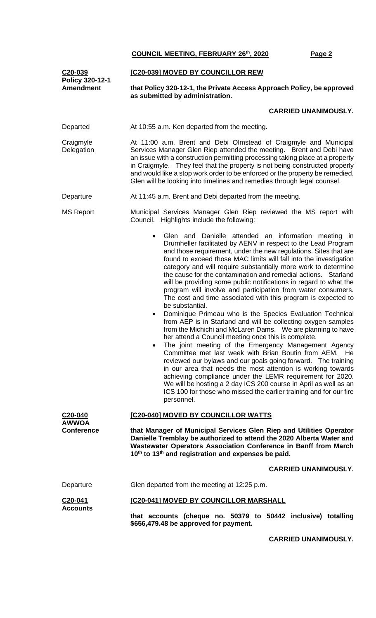| C20-039<br>Policy 320-12-1           | [C20-039] MOVED BY COUNCILLOR REW                                                                                                                                                                                                                                                                                                                                                                                                                                                                                                                                                                                                                                                                                                                                                                                                                                                                                                                                                                                                                                                                                                                                                                                                                                                                                                                                    |  |  |  |  |
|--------------------------------------|----------------------------------------------------------------------------------------------------------------------------------------------------------------------------------------------------------------------------------------------------------------------------------------------------------------------------------------------------------------------------------------------------------------------------------------------------------------------------------------------------------------------------------------------------------------------------------------------------------------------------------------------------------------------------------------------------------------------------------------------------------------------------------------------------------------------------------------------------------------------------------------------------------------------------------------------------------------------------------------------------------------------------------------------------------------------------------------------------------------------------------------------------------------------------------------------------------------------------------------------------------------------------------------------------------------------------------------------------------------------|--|--|--|--|
| <b>Amendment</b>                     | that Policy 320-12-1, the Private Access Approach Policy, be approved<br>as submitted by administration.                                                                                                                                                                                                                                                                                                                                                                                                                                                                                                                                                                                                                                                                                                                                                                                                                                                                                                                                                                                                                                                                                                                                                                                                                                                             |  |  |  |  |
|                                      | <b>CARRIED UNANIMOUSLY.</b>                                                                                                                                                                                                                                                                                                                                                                                                                                                                                                                                                                                                                                                                                                                                                                                                                                                                                                                                                                                                                                                                                                                                                                                                                                                                                                                                          |  |  |  |  |
| Departed                             | At 10:55 a.m. Ken departed from the meeting.                                                                                                                                                                                                                                                                                                                                                                                                                                                                                                                                                                                                                                                                                                                                                                                                                                                                                                                                                                                                                                                                                                                                                                                                                                                                                                                         |  |  |  |  |
| Craigmyle<br>Delegation              | At 11:00 a.m. Brent and Debi Olmstead of Craigmyle and Municipal<br>Services Manager Glen Riep attended the meeting. Brent and Debi have<br>an issue with a construction permitting processing taking place at a property<br>in Craigmyle. They feel that the property is not being constructed properly<br>and would like a stop work order to be enforced or the property be remedied.<br>Glen will be looking into timelines and remedies through legal counsel.                                                                                                                                                                                                                                                                                                                                                                                                                                                                                                                                                                                                                                                                                                                                                                                                                                                                                                  |  |  |  |  |
| Departure                            | At 11:45 a.m. Brent and Debi departed from the meeting.                                                                                                                                                                                                                                                                                                                                                                                                                                                                                                                                                                                                                                                                                                                                                                                                                                                                                                                                                                                                                                                                                                                                                                                                                                                                                                              |  |  |  |  |
| <b>MS Report</b>                     | Municipal Services Manager Glen Riep reviewed the MS report with<br>Council. Highlights include the following:                                                                                                                                                                                                                                                                                                                                                                                                                                                                                                                                                                                                                                                                                                                                                                                                                                                                                                                                                                                                                                                                                                                                                                                                                                                       |  |  |  |  |
|                                      | Glen and Danielle attended an information meeting in<br>$\bullet$<br>Drumheller facilitated by AENV in respect to the Lead Program<br>and those requirement, under the new regulations. Sites that are<br>found to exceed those MAC limits will fall into the investigation<br>category and will require substantially more work to determine<br>the cause for the contamination and remedial actions. Starland<br>will be providing some public notifications in regard to what the<br>program will involve and participation from water consumers.<br>The cost and time associated with this program is expected to<br>be substantial.<br>Dominique Primeau who is the Species Evaluation Technical<br>from AEP is in Starland and will be collecting oxygen samples<br>from the Michichi and McLaren Dams. We are planning to have<br>her attend a Council meeting once this is complete.<br>The joint meeting of the Emergency Management Agency<br>Committee met last week with Brian Boutin from AEM. He<br>reviewed our bylaws and our goals going forward. The training<br>in our area that needs the most attention is working towards<br>achieving compliance under the LEMR requirement for 2020.<br>We will be hosting a 2 day ICS 200 course in April as well as an<br>ICS 100 for those who missed the earlier training and for our fire<br>personnel. |  |  |  |  |
| C <sub>20</sub> -040<br><b>AWWOA</b> | [C20-040] MOVED BY COUNCILLOR WATTS                                                                                                                                                                                                                                                                                                                                                                                                                                                                                                                                                                                                                                                                                                                                                                                                                                                                                                                                                                                                                                                                                                                                                                                                                                                                                                                                  |  |  |  |  |
| <b>Conference</b>                    | that Manager of Municipal Services Glen Riep and Utilities Operator<br>Danielle Tremblay be authorized to attend the 2020 Alberta Water and<br>Wastewater Operators Association Conference in Banff from March<br>10 <sup>th</sup> to 13 <sup>th</sup> and registration and expenses be paid.                                                                                                                                                                                                                                                                                                                                                                                                                                                                                                                                                                                                                                                                                                                                                                                                                                                                                                                                                                                                                                                                        |  |  |  |  |
|                                      | <b>CARRIED UNANIMOUSLY.</b>                                                                                                                                                                                                                                                                                                                                                                                                                                                                                                                                                                                                                                                                                                                                                                                                                                                                                                                                                                                                                                                                                                                                                                                                                                                                                                                                          |  |  |  |  |
| Departure                            | Glen departed from the meeting at 12:25 p.m.                                                                                                                                                                                                                                                                                                                                                                                                                                                                                                                                                                                                                                                                                                                                                                                                                                                                                                                                                                                                                                                                                                                                                                                                                                                                                                                         |  |  |  |  |
| C20-041<br><b>Accounts</b>           | [C20-041] MOVED BY COUNCILLOR MARSHALL                                                                                                                                                                                                                                                                                                                                                                                                                                                                                                                                                                                                                                                                                                                                                                                                                                                                                                                                                                                                                                                                                                                                                                                                                                                                                                                               |  |  |  |  |
|                                      | that accounts (cheque no. 50379 to 50442 inclusive) totalling<br>\$656,479.48 be approved for payment.                                                                                                                                                                                                                                                                                                                                                                                                                                                                                                                                                                                                                                                                                                                                                                                                                                                                                                                                                                                                                                                                                                                                                                                                                                                               |  |  |  |  |

**CARRIED UNANIMOUSLY.**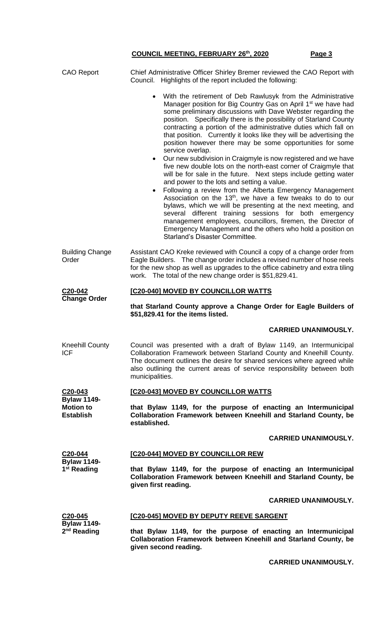| <b>CAO Report</b>                                        | Chief Administrative Officer Shirley Bremer reviewed the CAO Report with<br>Highlights of the report included the following:<br>Council.                                                                                                                                                                                                                                                                                                                                                                                                                                                                                                                                                                                                                                                                                                                                                                                                                                                                                                                                                                                                                                                                               |  |  |
|----------------------------------------------------------|------------------------------------------------------------------------------------------------------------------------------------------------------------------------------------------------------------------------------------------------------------------------------------------------------------------------------------------------------------------------------------------------------------------------------------------------------------------------------------------------------------------------------------------------------------------------------------------------------------------------------------------------------------------------------------------------------------------------------------------------------------------------------------------------------------------------------------------------------------------------------------------------------------------------------------------------------------------------------------------------------------------------------------------------------------------------------------------------------------------------------------------------------------------------------------------------------------------------|--|--|
|                                                          | • With the retirement of Deb Rawlusyk from the Administrative<br>Manager position for Big Country Gas on April 1 <sup>st</sup> we have had<br>some preliminary discussions with Dave Webster regarding the<br>position. Specifically there is the possibility of Starland County<br>contracting a portion of the administrative duties which fall on<br>that position. Currently it looks like they will be advertising the<br>position however there may be some opportunities for some<br>service overlap.<br>Our new subdivision in Craigmyle is now registered and we have<br>$\bullet$<br>five new double lots on the north-east corner of Craigmyle that<br>will be for sale in the future. Next steps include getting water<br>and power to the lots and setting a value.<br>Following a review from the Alberta Emergency Management<br>Association on the 13 <sup>th</sup> , we have a few tweaks to do to our<br>bylaws, which we will be presenting at the next meeting, and<br>different training sessions for both<br>several<br>emergency<br>management employees, councillors, firemen, the Director of<br>Emergency Management and the others who hold a position on<br>Starland's Disaster Committee. |  |  |
| <b>Building Change</b><br>Order                          | Assistant CAO Kreke reviewed with Council a copy of a change order from<br>Eagle Builders. The change order includes a revised number of hose reels<br>for the new shop as well as upgrades to the office cabinetry and extra tiling<br>work. The total of the new change order is \$51,829.41.                                                                                                                                                                                                                                                                                                                                                                                                                                                                                                                                                                                                                                                                                                                                                                                                                                                                                                                        |  |  |
| C <sub>20</sub> -042<br><b>Change Order</b>              | [C20-040] MOVED BY COUNCILLOR WATTS                                                                                                                                                                                                                                                                                                                                                                                                                                                                                                                                                                                                                                                                                                                                                                                                                                                                                                                                                                                                                                                                                                                                                                                    |  |  |
|                                                          | that Starland County approve a Change Order for Eagle Builders of<br>\$51,829.41 for the items listed.                                                                                                                                                                                                                                                                                                                                                                                                                                                                                                                                                                                                                                                                                                                                                                                                                                                                                                                                                                                                                                                                                                                 |  |  |
|                                                          | <b>CARRIED UNANIMOUSLY.</b>                                                                                                                                                                                                                                                                                                                                                                                                                                                                                                                                                                                                                                                                                                                                                                                                                                                                                                                                                                                                                                                                                                                                                                                            |  |  |
| Kneehill County<br><b>ICF</b>                            | Council was presented with a draft of Bylaw 1149, an Intermunicipal<br>Collaboration Framework between Starland County and Kneehill County.<br>The document outlines the desire for shared services where agreed while<br>also outlining the current areas of service responsibility between both<br>municipalities.                                                                                                                                                                                                                                                                                                                                                                                                                                                                                                                                                                                                                                                                                                                                                                                                                                                                                                   |  |  |
| C20-043<br><b>Bylaw 1149-</b>                            | [C20-043] MOVED BY COUNCILLOR WATTS                                                                                                                                                                                                                                                                                                                                                                                                                                                                                                                                                                                                                                                                                                                                                                                                                                                                                                                                                                                                                                                                                                                                                                                    |  |  |
| <b>Motion to</b><br><b>Establish</b>                     | that Bylaw 1149, for the purpose of enacting an Intermunicipal<br>Collaboration Framework between Kneehill and Starland County, be<br>established.                                                                                                                                                                                                                                                                                                                                                                                                                                                                                                                                                                                                                                                                                                                                                                                                                                                                                                                                                                                                                                                                     |  |  |
|                                                          | <b>CARRIED UNANIMOUSLY.</b>                                                                                                                                                                                                                                                                                                                                                                                                                                                                                                                                                                                                                                                                                                                                                                                                                                                                                                                                                                                                                                                                                                                                                                                            |  |  |
| C20-044<br><b>Bylaw 1149-</b><br>1 <sup>st</sup> Reading | [C20-044] MOVED BY COUNCILLOR REW                                                                                                                                                                                                                                                                                                                                                                                                                                                                                                                                                                                                                                                                                                                                                                                                                                                                                                                                                                                                                                                                                                                                                                                      |  |  |
|                                                          | that Bylaw 1149, for the purpose of enacting an Intermunicipal<br>Collaboration Framework between Kneehill and Starland County, be<br>given first reading.                                                                                                                                                                                                                                                                                                                                                                                                                                                                                                                                                                                                                                                                                                                                                                                                                                                                                                                                                                                                                                                             |  |  |
|                                                          | <b>CARRIED UNANIMOUSLY.</b>                                                                                                                                                                                                                                                                                                                                                                                                                                                                                                                                                                                                                                                                                                                                                                                                                                                                                                                                                                                                                                                                                                                                                                                            |  |  |
| C20-045<br><b>Bylaw 1149-</b><br>2 <sup>nd</sup> Reading | [C20-045] MOVED BY DEPUTY REEVE SARGENT                                                                                                                                                                                                                                                                                                                                                                                                                                                                                                                                                                                                                                                                                                                                                                                                                                                                                                                                                                                                                                                                                                                                                                                |  |  |
|                                                          | that Bylaw 1149, for the purpose of enacting an Intermunicipal<br>Collaboration Framework between Kneehill and Starland County, be<br>given second reading.                                                                                                                                                                                                                                                                                                                                                                                                                                                                                                                                                                                                                                                                                                                                                                                                                                                                                                                                                                                                                                                            |  |  |

**CARRIED UNANIMOUSLY.**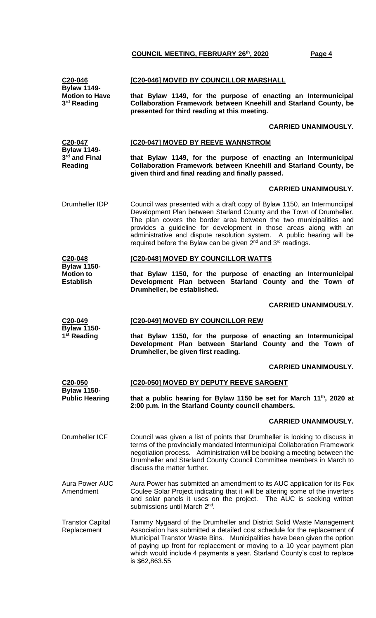| C <sub>20</sub> -046<br><b>Bylaw 1149-</b>                 | [C20-046] MOVED BY COUNCILLOR MARSHALL                                                                                                                                                                                                                                                                                                                                                                                                                        |  |  |
|------------------------------------------------------------|---------------------------------------------------------------------------------------------------------------------------------------------------------------------------------------------------------------------------------------------------------------------------------------------------------------------------------------------------------------------------------------------------------------------------------------------------------------|--|--|
| <b>Motion to Have</b><br>3rd Reading                       | that Bylaw 1149, for the purpose of enacting an Intermunicipal<br>Collaboration Framework between Kneehill and Starland County, be<br>presented for third reading at this meeting.                                                                                                                                                                                                                                                                            |  |  |
|                                                            | <b>CARRIED UNANIMOUSLY.</b>                                                                                                                                                                                                                                                                                                                                                                                                                                   |  |  |
| C20-047                                                    | [C20-047] MOVED BY REEVE WANNSTROM                                                                                                                                                                                                                                                                                                                                                                                                                            |  |  |
| <b>Bylaw 1149-</b><br>3rd and Final<br>Reading             | that Bylaw 1149, for the purpose of enacting an Intermunicipal<br>Collaboration Framework between Kneehill and Starland County, be<br>given third and final reading and finally passed.                                                                                                                                                                                                                                                                       |  |  |
|                                                            | <b>CARRIED UNANIMOUSLY.</b>                                                                                                                                                                                                                                                                                                                                                                                                                                   |  |  |
| Drumheller IDP                                             | Council was presented with a draft copy of Bylaw 1150, an Intermunciipal<br>Development Plan between Starland County and the Town of Drumheller.<br>The plan covers the border area between the two municipalities and<br>provides a guideline for development in those areas along with an<br>administrative and dispute resolution system. A public hearing will be<br>required before the Bylaw can be given 2 <sup>nd</sup> and 3 <sup>rd</sup> readings. |  |  |
| C20-048                                                    | [C20-048] MOVED BY COUNCILLOR WATTS                                                                                                                                                                                                                                                                                                                                                                                                                           |  |  |
| <b>Bylaw 1150-</b><br><b>Motion to</b><br><b>Establish</b> | that Bylaw 1150, for the purpose of enacting an Intermunicipal<br>Development Plan between Starland County and the Town of<br>Drumheller, be established.                                                                                                                                                                                                                                                                                                     |  |  |
|                                                            | <b>CARRIED UNANIMOUSLY.</b>                                                                                                                                                                                                                                                                                                                                                                                                                                   |  |  |
| C <sub>20</sub> -049                                       | [C20-049] MOVED BY COUNCILLOR REW                                                                                                                                                                                                                                                                                                                                                                                                                             |  |  |
| <b>Bylaw 1150-</b><br>1 <sup>st</sup> Reading              | that Bylaw 1150, for the purpose of enacting an Intermunicipal<br>Development Plan between Starland County and the Town of<br>Drumheller, be given first reading.                                                                                                                                                                                                                                                                                             |  |  |
|                                                            | <b>CARRIED UNANIMOUSLY.</b>                                                                                                                                                                                                                                                                                                                                                                                                                                   |  |  |
| C20-050                                                    | [C20-050] MOVED BY DEPUTY REEVE SARGENT                                                                                                                                                                                                                                                                                                                                                                                                                       |  |  |
| <b>Bylaw 1150-</b><br><b>Public Hearing</b>                | that a public hearing for Bylaw 1150 be set for March 11 <sup>th</sup> , 2020 at<br>2:00 p.m. in the Starland County council chambers.                                                                                                                                                                                                                                                                                                                        |  |  |
|                                                            | <b>CARRIED UNANIMOUSLY.</b>                                                                                                                                                                                                                                                                                                                                                                                                                                   |  |  |
| <b>Drumheller ICF</b>                                      | Council was given a list of points that Drumheller is looking to discuss in<br>terms of the provincially mandated Intermunicipal Collaboration Framework<br>negotiation process. Administration will be booking a meeting between the<br>Drumheller and Starland County Council Committee members in March to<br>discuss the matter further.                                                                                                                  |  |  |
| <b>Aura Power AUC</b><br>Amendment                         | Aura Power has submitted an amendment to its AUC application for its Fox<br>Coulee Solar Project indicating that it will be altering some of the inverters<br>and solar panels it uses on the project. The AUC is seeking written<br>submissions until March 2 <sup>nd</sup> .                                                                                                                                                                                |  |  |
| <b>Transtor Capital</b><br>Replacement                     | Tammy Nygaard of the Drumheller and District Solid Waste Management<br>Association has submitted a detailed cost schedule for the replacement of<br>Municipal Transtor Waste Bins. Municipalities have been given the option<br>of paying up front for replacement or moving to a 10 year payment plan<br>which would include 4 payments a year. Starland County's cost to replace<br>is \$62,863.55                                                          |  |  |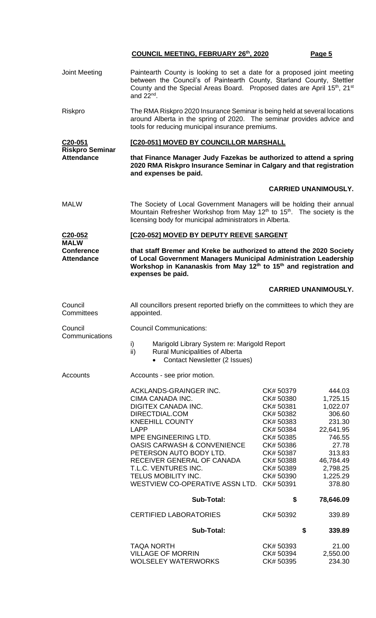| Joint Meeting                                         | Paintearth County is looking to set a date for a proposed joint meeting<br>between the Council's of Paintearth County, Starland County, Stettler<br>County and the Special Areas Board. Proposed dates are April 15th, 21st<br>and $22^{nd}$ .                                                        |                                                                                         |                                                                           |  |  |
|-------------------------------------------------------|-------------------------------------------------------------------------------------------------------------------------------------------------------------------------------------------------------------------------------------------------------------------------------------------------------|-----------------------------------------------------------------------------------------|---------------------------------------------------------------------------|--|--|
| Riskpro                                               | The RMA Riskpro 2020 Insurance Seminar is being held at several locations<br>around Alberta in the spring of 2020. The seminar provides advice and<br>tools for reducing municipal insurance premiums.                                                                                                |                                                                                         |                                                                           |  |  |
| C20-051                                               | [C20-051] MOVED BY COUNCILLOR MARSHALL                                                                                                                                                                                                                                                                |                                                                                         |                                                                           |  |  |
| <b>Riskpro Seminar</b><br><b>Attendance</b>           | that Finance Manager Judy Fazekas be authorized to attend a spring<br>2020 RMA Riskpro Insurance Seminar in Calgary and that registration<br>and expenses be paid.                                                                                                                                    |                                                                                         |                                                                           |  |  |
|                                                       |                                                                                                                                                                                                                                                                                                       |                                                                                         | <b>CARRIED UNANIMOUSLY.</b>                                               |  |  |
| <b>MALW</b>                                           | The Society of Local Government Managers will be holding their annual<br>Mountain Refresher Workshop from May 12 <sup>th</sup> to 15 <sup>th</sup> . The society is the<br>licensing body for municipal administrators in Alberta.                                                                    |                                                                                         |                                                                           |  |  |
| C <sub>20</sub> -052                                  | [C20-052] MOVED BY DEPUTY REEVE SARGENT<br>that staff Bremer and Kreke be authorized to attend the 2020 Society<br>of Local Government Managers Municipal Administration Leadership<br>Workshop in Kananaskis from May 12 <sup>th</sup> to 15 <sup>th</sup> and registration and<br>expenses be paid. |                                                                                         |                                                                           |  |  |
| <b>MALW</b><br><b>Conference</b><br><b>Attendance</b> |                                                                                                                                                                                                                                                                                                       |                                                                                         |                                                                           |  |  |
|                                                       |                                                                                                                                                                                                                                                                                                       |                                                                                         | <b>CARRIED UNANIMOUSLY.</b>                                               |  |  |
| Council<br>Committees                                 | All councillors present reported briefly on the committees to which they are<br>appointed.                                                                                                                                                                                                            |                                                                                         |                                                                           |  |  |
| Council                                               | <b>Council Communications:</b>                                                                                                                                                                                                                                                                        |                                                                                         |                                                                           |  |  |
| Communications                                        | i)<br>Marigold Library System re: Marigold Report<br>ii)<br><b>Rural Municipalities of Alberta</b><br><b>Contact Newsletter (2 Issues)</b><br>$\bullet$                                                                                                                                               |                                                                                         |                                                                           |  |  |
| Accounts                                              | Accounts - see prior motion.                                                                                                                                                                                                                                                                          |                                                                                         |                                                                           |  |  |
|                                                       | ACKLANDS-GRAINGER INC.<br>CIMA CANADA INC.<br>DIGITEX CANADA INC.<br>DIRECTDIAL.COM<br><b>KNEEHILL COUNTY</b><br><b>LAPP</b><br>MPE ENGINEERING LTD.                                                                                                                                                  | CK# 50379<br>CK# 50380<br>CK# 50381<br>CK# 50382<br>CK# 50383<br>CK# 50384<br>CK# 50385 | 444.03<br>1,725.15<br>1,022.07<br>306.60<br>231.30<br>22,641.95<br>746.55 |  |  |
|                                                       | <b>OASIS CARWASH &amp; CONVENIENCE</b><br>PETERSON AUTO BODY LTD.<br>RECEIVER GENERAL OF CANADA<br>T.L.C. VENTURES INC.<br>TELUS MOBILITY INC.<br>WESTVIEW CO-OPERATIVE ASSN LTD. CK# 50391                                                                                                           | CK# 50386<br>CK# 50387<br>CK# 50388<br>CK# 50389<br>CK# 50390                           | 27.78<br>313.83<br>46,784.49<br>2,798.25<br>1,225.29<br>378.80            |  |  |
|                                                       | <b>Sub-Total:</b>                                                                                                                                                                                                                                                                                     | \$                                                                                      | 78,646.09                                                                 |  |  |
|                                                       | <b>CERTIFIED LABORATORIES</b>                                                                                                                                                                                                                                                                         | CK# 50392                                                                               | 339.89                                                                    |  |  |
|                                                       | <b>Sub-Total:</b>                                                                                                                                                                                                                                                                                     |                                                                                         | \$<br>339.89                                                              |  |  |
|                                                       | <b>TAQA NORTH</b><br><b>VILLAGE OF MORRIN</b><br><b>WOLSELEY WATERWORKS</b>                                                                                                                                                                                                                           | CK# 50393<br>CK# 50394<br>CK# 50395                                                     | 21.00<br>2,550.00<br>234.30                                               |  |  |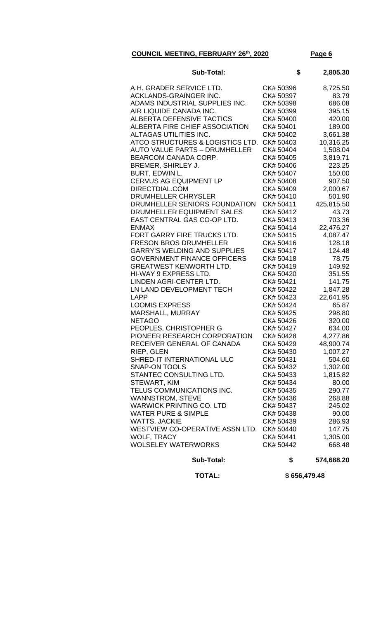| <b>Sub-Total:</b>                    | \$        | 2,805.30   |
|--------------------------------------|-----------|------------|
| A.H. GRADER SERVICE LTD.             | CK# 50396 | 8,725.50   |
| <b>ACKLANDS-GRAINGER INC.</b>        | CK# 50397 | 83.79      |
| ADAMS INDUSTRIAL SUPPLIES INC.       | CK# 50398 | 686.08     |
| AIR LIQUIDE CANADA INC.              | CK# 50399 | 395.15     |
| <b>ALBERTA DEFENSIVE TACTICS</b>     | CK# 50400 | 420.00     |
| ALBERTA FIRE CHIEF ASSOCIATION       | CK# 50401 | 189.00     |
| ALTAGAS UTILITIES INC.               | CK# 50402 | 3,661.38   |
| ATCO STRUCTURES & LOGISTICS LTD.     | CK# 50403 | 10,316.25  |
| <b>AUTO VALUE PARTS - DRUMHELLER</b> | CK# 50404 | 1,508.04   |
| BEARCOM CANADA CORP.                 | CK# 50405 | 3,819.71   |
| <b>BREMER, SHIRLEY J.</b>            | CK# 50406 | 223.25     |
| BURT, EDWIN L.                       | CK# 50407 | 150.00     |
| CERVUS AG EQUIPMENT LP               | CK# 50408 | 907.50     |
| DIRECTDIAL.COM                       | CK# 50409 | 2,000.67   |
| <b>DRUMHELLER CHRYSLER</b>           | CK# 50410 | 501.90     |
| DRUMHELLER SENIORS FOUNDATION        | CK# 50411 | 425,815.50 |
| DRUMHELLER EQUIPMENT SALES           | CK# 50412 | 43.73      |
| EAST CENTRAL GAS CO-OP LTD.          | CK# 50413 | 703.36     |
| <b>ENMAX</b>                         | CK# 50414 | 22,476.27  |
| FORT GARRY FIRE TRUCKS LTD.          | CK# 50415 | 4,087.47   |
| <b>FRESON BROS DRUMHELLER</b>        | CK# 50416 | 128.18     |
| <b>GARRY'S WELDING AND SUPPLIES</b>  | CK# 50417 | 124.48     |
| <b>GOVERNMENT FINANCE OFFICERS</b>   | CK# 50418 | 78.75      |
| <b>GREATWEST KENWORTH LTD.</b>       | CK# 50419 | 149.92     |
| HI-WAY 9 EXPRESS LTD.                | CK# 50420 | 351.55     |
| LINDEN AGRI-CENTER LTD.              | CK# 50421 | 141.75     |
| LN LAND DEVELOPMENT TECH             | CK# 50422 | 1,847.28   |
| <b>LAPP</b>                          | CK# 50423 | 22,641.95  |
| <b>LOOMIS EXPRESS</b>                | CK# 50424 | 65.87      |
| MARSHALL, MURRAY                     | CK# 50425 | 298.80     |
| <b>NETAGO</b>                        | CK# 50426 | 320.00     |
| PEOPLES, CHRISTOPHER G               | CK# 50427 | 634.00     |
| PIONEER RESEARCH CORPORATION         | CK# 50428 | 4,277.86   |
| RECEIVER GENERAL OF CANADA           | CK# 50429 | 48,900.74  |
| RIEP, GLEN                           | CK# 50430 | 1,007.27   |
| SHRED-IT INTERNATIONAL ULC           | CK# 50431 | 504.60     |
| <b>SNAP-ON TOOLS</b>                 | CK# 50432 | 1,302.00   |
| STANTEC CONSULTING LTD.              | CK# 50433 | 1,815.82   |
| STEWART, KIM                         | CK# 50434 | 80.00      |
| TELUS COMMUNICATIONS INC.            | CK# 50435 | 290.77     |
| <b>WANNSTROM, STEVE</b>              | CK# 50436 | 268.88     |
| <b>WARWICK PRINTING CO. LTD</b>      | CK# 50437 | 245.02     |
| <b>WATER PURE &amp; SIMPLE</b>       | CK# 50438 | 90.00      |
| <b>WATTS, JACKIE</b>                 | CK# 50439 | 286.93     |
| WESTVIEW CO-OPERATIVE ASSN LTD.      | CK# 50440 | 147.75     |
| <b>WOLF, TRACY</b>                   | CK# 50441 | 1,305.00   |
| <b>WOLSELEY WATERWORKS</b>           | CK# 50442 | 668.48     |
|                                      |           |            |

 **Sub-Total: \$ 574,688.20**

 **TOTAL: \$ 656,479.48**